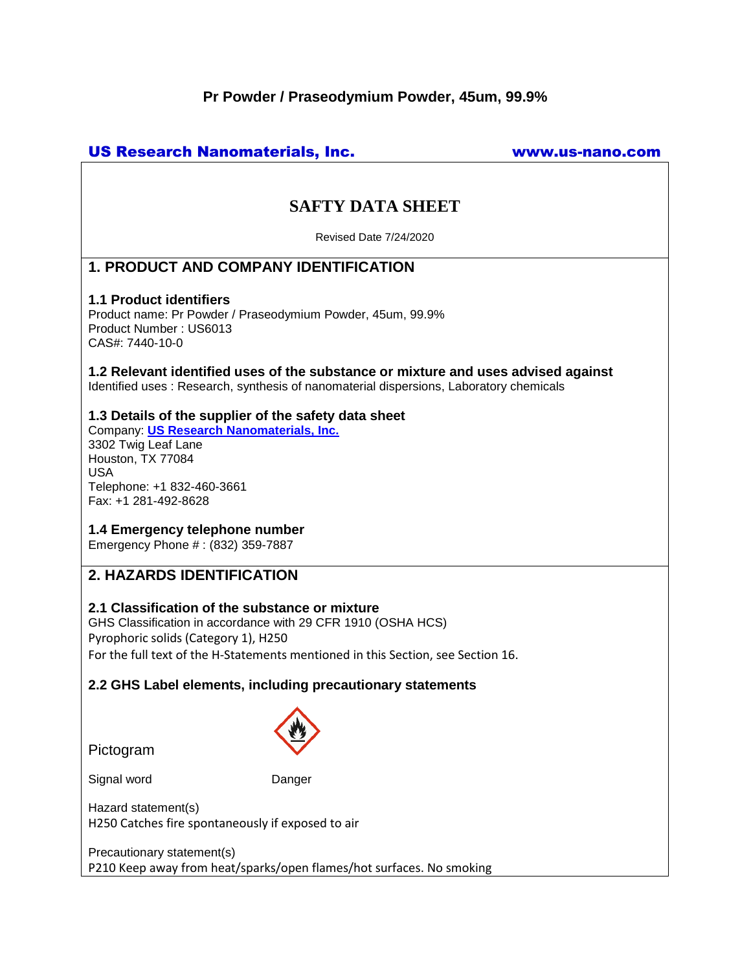# **Pr Powder / Praseodymium Powder, 45um, 99.9%**

# US Research Nanomaterials, Inc. www.us-nano.com

# **SAFTY DATA SHEET**

Revised Date 7/24/2020

# **1. PRODUCT AND COMPANY IDENTIFICATION**

#### **1.1 Product identifiers**

Product name: Pr Powder / Praseodymium Powder, 45um, 99.9% Product Number : US6013 CAS#: 7440-10-0

**1.2 Relevant identified uses of the substance or mixture and uses advised against** Identified uses : Research, synthesis of nanomaterial dispersions, Laboratory chemicals

#### **1.3 Details of the supplier of the safety data sheet**

Company: **[US Research Nanomaterials, Inc.](http://www.us-nano.com/)** 3302 Twig Leaf Lane Houston, TX 77084 USA Telephone: +1 832-460-3661 Fax: +1 281-492-8628

### **1.4 Emergency telephone number**

Emergency Phone # : (832) 359-7887

# **2. HAZARDS IDENTIFICATION**

## **2.1 Classification of the substance or mixture**

GHS Classification in accordance with 29 CFR 1910 (OSHA HCS) Pyrophoric solids (Category 1), H250 For the full text of the H-Statements mentioned in this Section, see Section 16.

#### **2.2 GHS Label elements, including precautionary statements**

Pictogram



Signal word Danger

Hazard statement(s) H250 Catches fire spontaneously if exposed to air

Precautionary statement(s) P210 Keep away from heat/sparks/open flames/hot surfaces. No smoking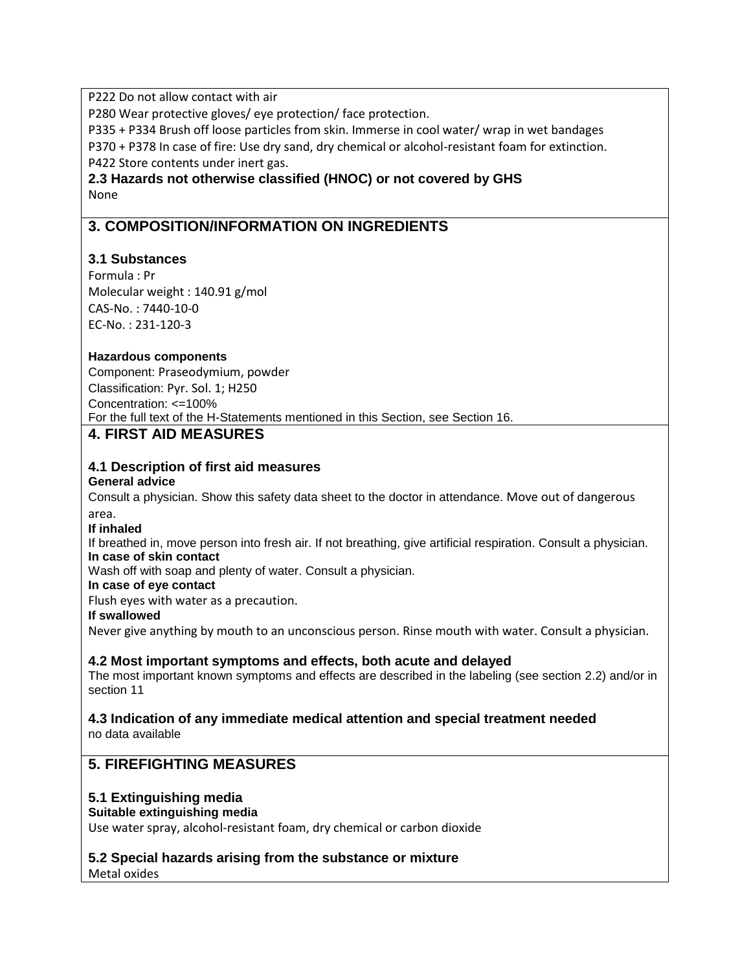P222 Do not allow contact with air

P280 Wear protective gloves/ eye protection/ face protection.

P335 + P334 Brush off loose particles from skin. Immerse in cool water/ wrap in wet bandages

P370 + P378 In case of fire: Use dry sand, dry chemical or alcohol-resistant foam for extinction. P422 Store contents under inert gas.

**2.3 Hazards not otherwise classified (HNOC) or not covered by GHS** None

# **3. COMPOSITION/INFORMATION ON INGREDIENTS**

## **3.1 Substances**

Formula : Pr Molecular weight : 140.91 g/mol CAS-No. : 7440-10-0 EC-No. : 231-120-3

### **Hazardous components**

Component: Praseodymium, powder Classification: Pyr. Sol. 1; H250 Concentration: <=100% For the full text of the H-Statements mentioned in this Section, see Section 16. **4. FIRST AID MEASURES**

# **4.1 Description of first aid measures**

#### **General advice**

Consult a physician. Show this safety data sheet to the doctor in attendance. Move out of dangerous area.

#### **If inhaled**

If breathed in, move person into fresh air. If not breathing, give artificial respiration. Consult a physician. **In case of skin contact**

Wash off with soap and plenty of water. Consult a physician.

#### **In case of eye contact**

Flush eyes with water as a precaution.

### **If swallowed**

Never give anything by mouth to an unconscious person. Rinse mouth with water. Consult a physician.

### **4.2 Most important symptoms and effects, both acute and delayed**

The most important known symptoms and effects are described in the labeling (see section 2.2) and/or in section 11

**4.3 Indication of any immediate medical attention and special treatment needed** no data available

# **5. FIREFIGHTING MEASURES**

### **5.1 Extinguishing media**

#### **Suitable extinguishing media**

Use water spray, alcohol-resistant foam, dry chemical or carbon dioxide

### **5.2 Special hazards arising from the substance or mixture**

Metal oxides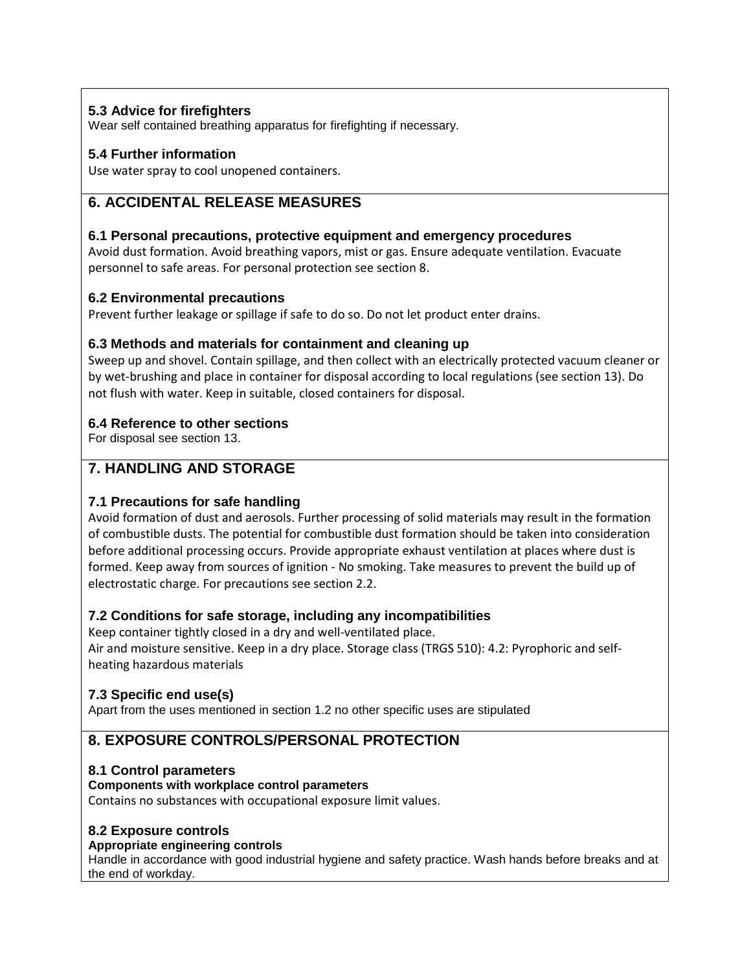# **5.3 Advice for firefighters**

Wear self contained breathing apparatus for firefighting if necessary.

## **5.4 Further information**

Use water spray to cool unopened containers.

# **6. ACCIDENTAL RELEASE MEASURES**

### **6.1 Personal precautions, protective equipment and emergency procedures**

Avoid dust formation. Avoid breathing vapors, mist or gas. Ensure adequate ventilation. Evacuate personnel to safe areas. For personal protection see section 8.

## **6.2 Environmental precautions**

Prevent further leakage or spillage if safe to do so. Do not let product enter drains.

### **6.3 Methods and materials for containment and cleaning up**

Sweep up and shovel. Contain spillage, and then collect with an electrically protected vacuum cleaner or by wet-brushing and place in container for disposal according to local regulations (see section 13). Do not flush with water. Keep in suitable, closed containers for disposal.

## **6.4 Reference to other sections**

For disposal see section 13.

# **7. HANDLING AND STORAGE**

### **7.1 Precautions for safe handling**

Avoid formation of dust and aerosols. Further processing of solid materials may result in the formation of combustible dusts. The potential for combustible dust formation should be taken into consideration before additional processing occurs. Provide appropriate exhaust ventilation at places where dust is formed. Keep away from sources of ignition - No smoking. Take measures to prevent the build up of electrostatic charge. For precautions see section 2.2.

# **7.2 Conditions for safe storage, including any incompatibilities**

Keep container tightly closed in a dry and well-ventilated place.

Air and moisture sensitive. Keep in a dry place. Storage class (TRGS 510): 4.2: Pyrophoric and selfheating hazardous materials

# **7.3 Specific end use(s)**

Apart from the uses mentioned in section 1.2 no other specific uses are stipulated

# **8. EXPOSURE CONTROLS/PERSONAL PROTECTION**

### **8.1 Control parameters**

### **Components with workplace control parameters**

Contains no substances with occupational exposure limit values.

# **8.2 Exposure controls**

#### **Appropriate engineering controls**

Handle in accordance with good industrial hygiene and safety practice. Wash hands before breaks and at the end of workday.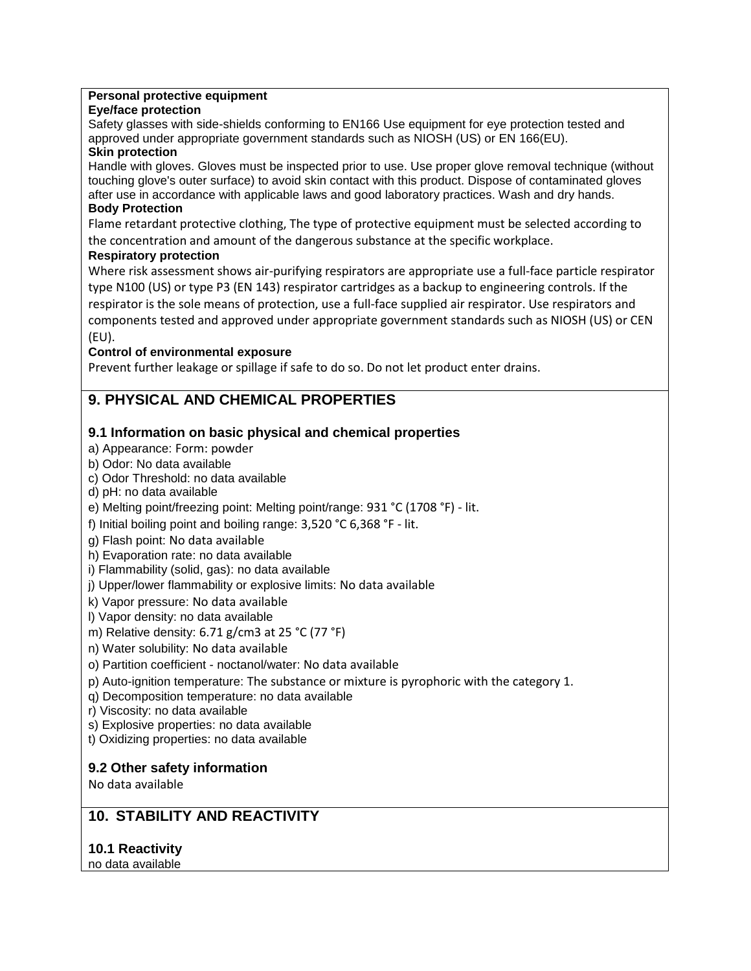#### **Personal protective equipment**

#### **Eye/face protection**

Safety glasses with side-shields conforming to EN166 Use equipment for eye protection tested and approved under appropriate government standards such as NIOSH (US) or EN 166(EU).

#### **Skin protection**

Handle with gloves. Gloves must be inspected prior to use. Use proper glove removal technique (without touching glove's outer surface) to avoid skin contact with this product. Dispose of contaminated gloves after use in accordance with applicable laws and good laboratory practices. Wash and dry hands.

#### **Body Protection**

Flame retardant protective clothing, The type of protective equipment must be selected according to the concentration and amount of the dangerous substance at the specific workplace.

#### **Respiratory protection**

Where risk assessment shows air-purifying respirators are appropriate use a full-face particle respirator type N100 (US) or type P3 (EN 143) respirator cartridges as a backup to engineering controls. If the respirator is the sole means of protection, use a full-face supplied air respirator. Use respirators and components tested and approved under appropriate government standards such as NIOSH (US) or CEN (EU).

#### **Control of environmental exposure**

Prevent further leakage or spillage if safe to do so. Do not let product enter drains.

# **9. PHYSICAL AND CHEMICAL PROPERTIES**

## **9.1 Information on basic physical and chemical properties**

- a) Appearance: Form: powder
- b) Odor: No data available
- c) Odor Threshold: no data available
- d) pH: no data available
- e) Melting point/freezing point: Melting point/range: 931 °C (1708 °F) lit.
- f) Initial boiling point and boiling range: 3,520 °C 6,368 °F lit.
- g) Flash point: No data available
- h) Evaporation rate: no data available
- i) Flammability (solid, gas): no data available
- j) Upper/lower flammability or explosive limits: No data available
- k) Vapor pressure: No data available
- l) Vapor density: no data available
- m) Relative density: 6.71 g/cm3 at 25 °C (77 °F)
- n) Water solubility: No data available
- o) Partition coefficient noctanol/water: No data available
- p) Auto-ignition temperature: The substance or mixture is pyrophoric with the category 1.
- q) Decomposition temperature: no data available
- r) Viscosity: no data available
- s) Explosive properties: no data available
- t) Oxidizing properties: no data available

### **9.2 Other safety information**

No data available

# **10. STABILITY AND REACTIVITY**

# **10.1 Reactivity**

no data available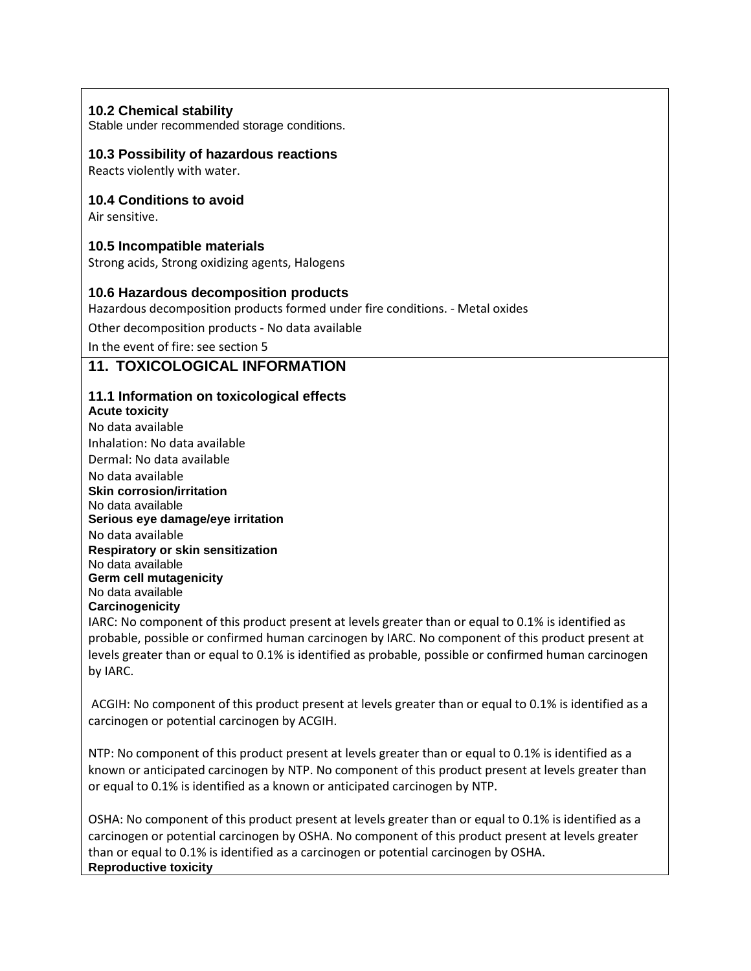#### **10.2 Chemical stability**

Stable under recommended storage conditions.

#### **10.3 Possibility of hazardous reactions**

Reacts violently with water.

### **10.4 Conditions to avoid**

Air sensitive.

### **10.5 Incompatible materials**

Strong acids, Strong oxidizing agents, Halogens

### **10.6 Hazardous decomposition products**

Hazardous decomposition products formed under fire conditions. - Metal oxides

Other decomposition products - No data available

In the event of fire: see section 5

# **11. TOXICOLOGICAL INFORMATION**

#### **11.1 Information on toxicological effects**

**Acute toxicity** No data available Inhalation: No data available Dermal: No data available No data available **Skin corrosion/irritation** No data available **Serious eye damage/eye irritation** No data available **Respiratory or skin sensitization** No data available **Germ cell mutagenicity** No data available **Carcinogenicity**

IARC: No component of this product present at levels greater than or equal to 0.1% is identified as probable, possible or confirmed human carcinogen by IARC. No component of this product present at levels greater than or equal to 0.1% is identified as probable, possible or confirmed human carcinogen by IARC.

ACGIH: No component of this product present at levels greater than or equal to 0.1% is identified as a carcinogen or potential carcinogen by ACGIH.

NTP: No component of this product present at levels greater than or equal to 0.1% is identified as a known or anticipated carcinogen by NTP. No component of this product present at levels greater than or equal to 0.1% is identified as a known or anticipated carcinogen by NTP.

OSHA: No component of this product present at levels greater than or equal to 0.1% is identified as a carcinogen or potential carcinogen by OSHA. No component of this product present at levels greater than or equal to 0.1% is identified as a carcinogen or potential carcinogen by OSHA. **Reproductive toxicity**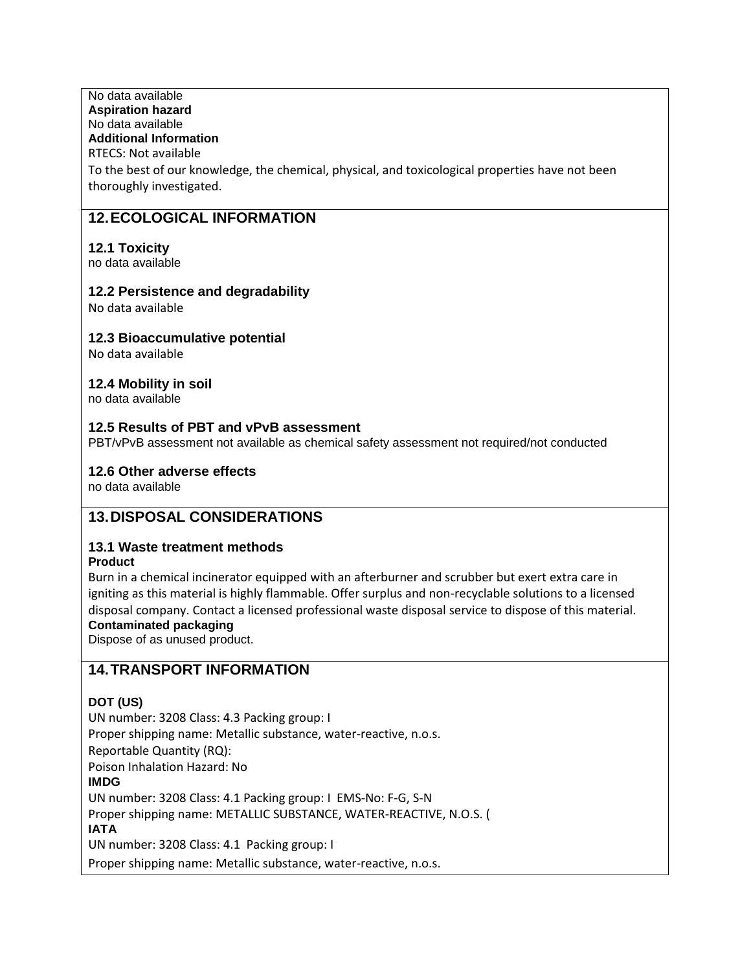#### No data available **Aspiration hazard** No data available **Additional Information** RTECS: Not available

To the best of our knowledge, the chemical, physical, and toxicological properties have not been thoroughly investigated.

# **12.ECOLOGICAL INFORMATION**

### **12.1 Toxicity**

no data available

### **12.2 Persistence and degradability**

No data available

### **12.3 Bioaccumulative potential**

No data available

# **12.4 Mobility in soil**

no data available

## **12.5 Results of PBT and vPvB assessment**

PBT/vPvB assessment not available as chemical safety assessment not required/not conducted

### **12.6 Other adverse effects**

no data available

# **13.DISPOSAL CONSIDERATIONS**

# **13.1 Waste treatment methods**

**Product**

Burn in a chemical incinerator equipped with an afterburner and scrubber but exert extra care in igniting as this material is highly flammable. Offer surplus and non-recyclable solutions to a licensed disposal company. Contact a licensed professional waste disposal service to dispose of this material.

# **Contaminated packaging**

Dispose of as unused product.

# **14.TRANSPORT INFORMATION**

#### **DOT (US)**

UN number: 3208 Class: 4.3 Packing group: I Proper shipping name: Metallic substance, water-reactive, n.o.s. Reportable Quantity (RQ): Poison Inhalation Hazard: No **IMDG** UN number: 3208 Class: 4.1 Packing group: I EMS-No: F-G, S-N Proper shipping name: METALLIC SUBSTANCE, WATER-REACTIVE, N.O.S. ( **IATA** UN number: 3208 Class: 4.1 Packing group: I

Proper shipping name: Metallic substance, water-reactive, n.o.s.